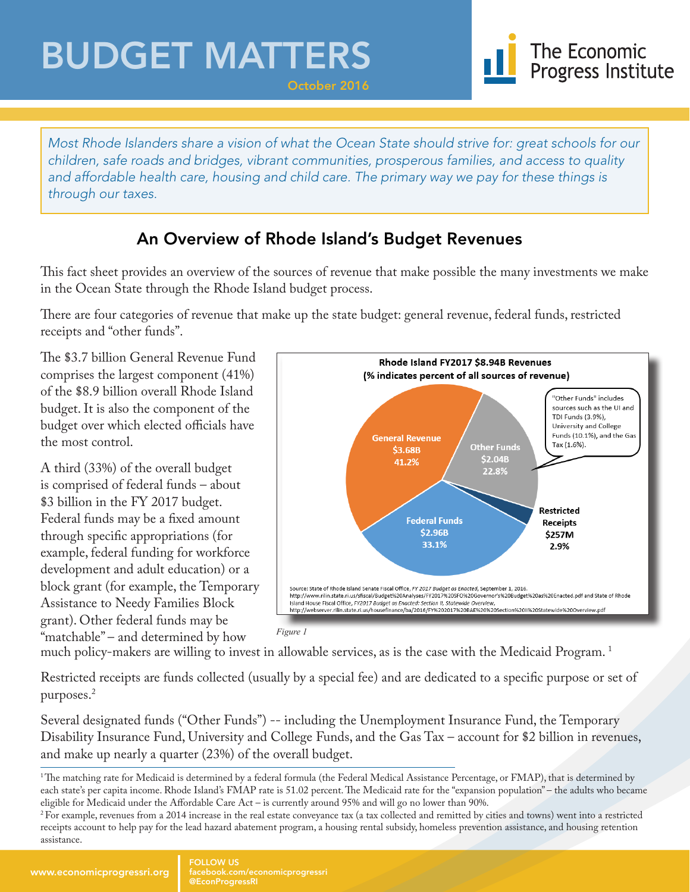## BUDGET MATTERS



*Most Rhode Islanders share a vision of what the Ocean State should strive for: great schools for our children, safe roads and bridges, vibrant communities, prosperous families, and access to quality and affordable health care, housing and child care. The primary way we pay for these things is through our taxes.*

October 2016

### An Overview of Rhode Island's Budget Revenues

This fact sheet provides an overview of the sources of revenue that make possible the many investments we make in the Ocean State through the Rhode Island budget process.

There are four categories of revenue that make up the state budget: general revenue, federal funds, restricted receipts and "other funds".

The \$3.7 billion General Revenue Fund comprises the largest component (41%) of the \$8.9 billion overall Rhode Island budget. It is also the component of the budget over which elected officials have the most control.

A third (33%) of the overall budget is comprised of federal funds – about \$3 billion in the FY 2017 budget. Federal funds may be a fixed amount through specific appropriations (for example, federal funding for workforce development and adult education) or a block grant (for example, the Temporary Assistance to Needy Families Block grant). Other federal funds may be "matchable" – and determined by how



much policy-makers are willing to invest in allowable services, as is the case with the Medicaid Program. 1

Restricted receipts are funds collected (usually by a special fee) and are dedicated to a specific purpose or set of purposes.2

Several designated funds ("Other Funds") -- including the Unemployment Insurance Fund, the Temporary Disability Insurance Fund, University and College Funds, and the Gas Tax – account for \$2 billion in revenues, and make up nearly a quarter (23%) of the overall budget.

<sup>&</sup>lt;sup>1</sup>The matching rate for Medicaid is determined by a federal formula (the Federal Medical Assistance Percentage, or FMAP), that is determined by each state's per capita income. Rhode Island's FMAP rate is 51.02 percent. The Medicaid rate for the "expansion population" – the adults who became eligible for Medicaid under the Affordable Care Act – is currently around 95% and will go no lower than 90%.

<sup>&</sup>lt;sup>2</sup> For example, revenues from a 2014 increase in the real estate conveyance tax (a tax collected and remitted by cities and towns) went into a restricted receipts account to help pay for the lead hazard abatement program, a housing rental subsidy, homeless prevention assistance, and housing retention assistance.